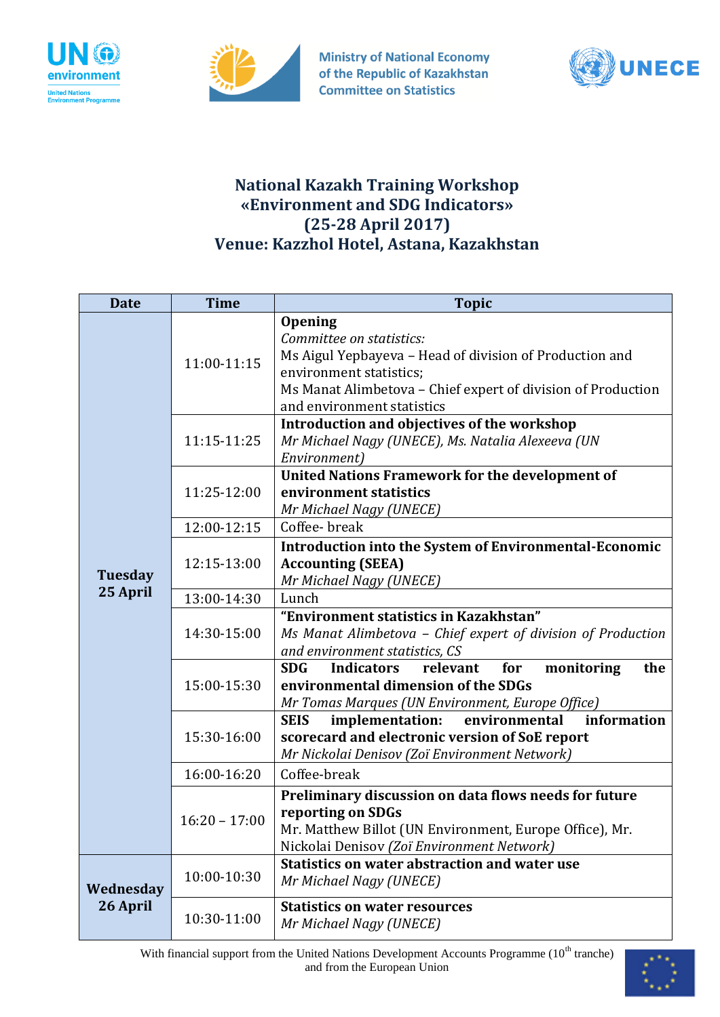



**Ministry of National Economy** of the Republic of Kazakhstan **Committee on Statistics** 



## **National Kazakh Training Workshop «Environment and SDG Indicators» (25-28 April 2017) Venue: Kazzhol Hotel, Astana, Kazakhstan**

| <b>Date</b>           | <b>Time</b>     | <b>Topic</b>                                                                                                                                                                                                                   |
|-----------------------|-----------------|--------------------------------------------------------------------------------------------------------------------------------------------------------------------------------------------------------------------------------|
| <b>Tuesday</b>        | 11:00-11:15     | <b>Opening</b><br>Committee on statistics:<br>Ms Aigul Yepbayeva - Head of division of Production and<br>environment statistics;<br>Ms Manat Alimbetova - Chief expert of division of Production<br>and environment statistics |
|                       | 11:15-11:25     | Introduction and objectives of the workshop<br>Mr Michael Nagy (UNECE), Ms. Natalia Alexeeva (UN<br>Environment)                                                                                                               |
|                       | 11:25-12:00     | <b>United Nations Framework for the development of</b><br>environment statistics<br>Mr Michael Nagy (UNECE)                                                                                                                    |
|                       | 12:00-12:15     | Coffee-break                                                                                                                                                                                                                   |
|                       | 12:15-13:00     | Introduction into the System of Environmental-Economic<br><b>Accounting (SEEA)</b><br>Mr Michael Nagy (UNECE)                                                                                                                  |
| 25 April              | 13:00-14:30     | Lunch                                                                                                                                                                                                                          |
|                       | 14:30-15:00     | "Environment statistics in Kazakhstan"<br>Ms Manat Alimbetova - Chief expert of division of Production<br>and environment statistics, CS                                                                                       |
|                       | 15:00-15:30     | <b>SDG</b><br><b>Indicators</b><br>relevant<br>for<br>monitoring<br>the<br>environmental dimension of the SDGs<br>Mr Tomas Marques (UN Environment, Europe Office)                                                             |
|                       | 15:30-16:00     | information<br><b>SEIS</b><br>implementation:<br>environmental<br>scorecard and electronic version of SoE report<br>Mr Nickolai Denisov (Zoï Environment Network)                                                              |
|                       | 16:00-16:20     | Coffee-break                                                                                                                                                                                                                   |
|                       | $16:20 - 17:00$ | Preliminary discussion on data flows needs for future<br>reporting on SDGs<br>Mr. Matthew Billot (UN Environment, Europe Office), Mr.<br>Nickolai Denisov (Zoï Environment Network)                                            |
| Wednesday<br>26 April | 10:00-10:30     | Statistics on water abstraction and water use<br>Mr Michael Nagy (UNECE)                                                                                                                                                       |
|                       | 10:30-11:00     | <b>Statistics on water resources</b><br>Mr Michael Nagy (UNECE)                                                                                                                                                                |

With financial support from the United Nations Development Accounts Programme (10<sup>th</sup> tranche) and from the European Union

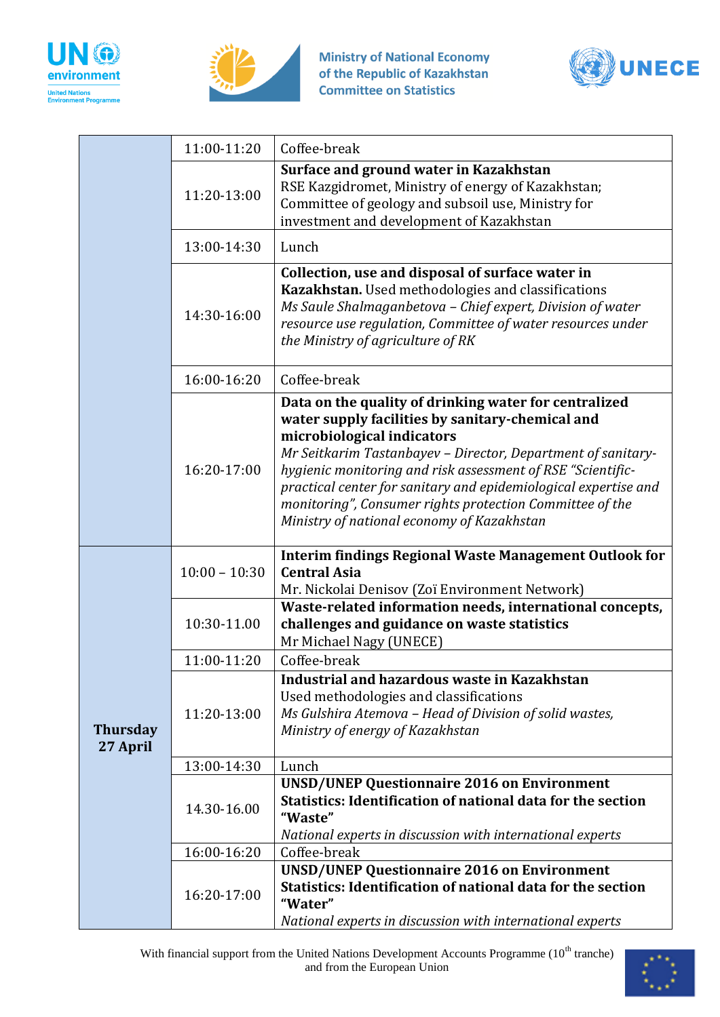





|                             | 11:00-11:20     | Coffee-break                                                                                                                                                                                                                                                                                                                                                                                                                                        |
|-----------------------------|-----------------|-----------------------------------------------------------------------------------------------------------------------------------------------------------------------------------------------------------------------------------------------------------------------------------------------------------------------------------------------------------------------------------------------------------------------------------------------------|
|                             | 11:20-13:00     | Surface and ground water in Kazakhstan<br>RSE Kazgidromet, Ministry of energy of Kazakhstan;<br>Committee of geology and subsoil use, Ministry for<br>investment and development of Kazakhstan                                                                                                                                                                                                                                                      |
|                             | 13:00-14:30     | Lunch                                                                                                                                                                                                                                                                                                                                                                                                                                               |
|                             | 14:30-16:00     | Collection, use and disposal of surface water in<br>Kazakhstan. Used methodologies and classifications<br>Ms Saule Shalmaganbetova - Chief expert, Division of water<br>resource use regulation, Committee of water resources under<br>the Ministry of agriculture of RK                                                                                                                                                                            |
|                             | 16:00-16:20     | Coffee-break                                                                                                                                                                                                                                                                                                                                                                                                                                        |
|                             | 16:20-17:00     | Data on the quality of drinking water for centralized<br>water supply facilities by sanitary-chemical and<br>microbiological indicators<br>Mr Seitkarim Tastanbayev - Director, Department of sanitary-<br>hygienic monitoring and risk assessment of RSE "Scientific-<br>practical center for sanitary and epidemiological expertise and<br>monitoring", Consumer rights protection Committee of the<br>Ministry of national economy of Kazakhstan |
|                             | $10:00 - 10:30$ | <b>Interim findings Regional Waste Management Outlook for</b><br><b>Central Asia</b><br>Mr. Nickolai Denisov (Zoï Environment Network)                                                                                                                                                                                                                                                                                                              |
|                             | 10:30-11.00     | Waste-related information needs, international concepts,<br>challenges and guidance on waste statistics<br>Mr Michael Nagy (UNECE)                                                                                                                                                                                                                                                                                                                  |
|                             | 11:00-11:20     | Coffee-break                                                                                                                                                                                                                                                                                                                                                                                                                                        |
| <b>Thursday</b><br>27 April | 11:20-13:00     | Industrial and hazardous waste in Kazakhstan<br>Used methodologies and classifications<br>Ms Gulshira Atemova - Head of Division of solid wastes,<br>Ministry of energy of Kazakhstan                                                                                                                                                                                                                                                               |
|                             | 13:00-14:30     | Lunch                                                                                                                                                                                                                                                                                                                                                                                                                                               |
|                             | 14.30-16.00     | <b>UNSD/UNEP Questionnaire 2016 on Environment</b><br>Statistics: Identification of national data for the section<br>"Waste"<br>National experts in discussion with international experts                                                                                                                                                                                                                                                           |
|                             | 16:00-16:20     | Coffee-break                                                                                                                                                                                                                                                                                                                                                                                                                                        |
|                             | 16:20-17:00     | <b>UNSD/UNEP Questionnaire 2016 on Environment</b><br><b>Statistics: Identification of national data for the section</b><br>"Water"<br>National experts in discussion with international experts                                                                                                                                                                                                                                                    |